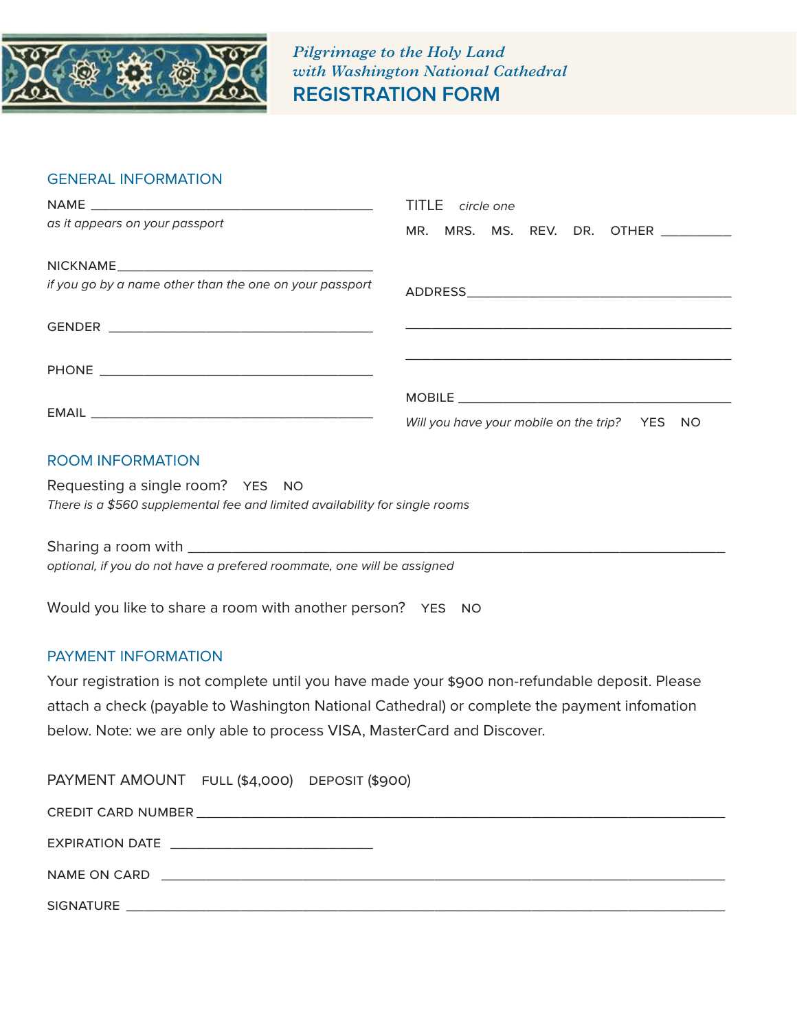

*Pilgrimage to the Holy Land with Washington National Cathedral* **REGISTRATION FORM**

## GENERAL INFORMATION

|                                                         | TITLE circle one                                                                                               |
|---------------------------------------------------------|----------------------------------------------------------------------------------------------------------------|
| as it appears on your passport                          | MR. MRS. MS. REV. DR. OTHER                                                                                    |
|                                                         |                                                                                                                |
| if you go by a name other than the one on your passport |                                                                                                                |
|                                                         |                                                                                                                |
|                                                         |                                                                                                                |
|                                                         | MOBILE THE STATE OF THE STATE OF THE STATE OF THE STATE OF THE STATE OF THE STATE OF THE STATE OF THE STATE OF |
|                                                         | Will you have your mobile on the trip? YES NO                                                                  |

# ROOM INFORMATION

Requesting a single room? YES NO *There is a \$560 supplemental fee and limited availability for single rooms*

Sharing a room with \_\_\_\_\_\_\_\_\_\_\_\_\_\_\_\_\_\_\_\_\_\_\_\_\_\_\_\_\_\_\_\_\_\_\_\_\_\_\_\_\_\_\_\_\_\_\_\_\_\_\_\_\_\_\_\_\_\_\_\_\_ *optional, if you do not have a prefered roommate, one will be assigned*

Would you like to share a room with another person? YES NO

#### PAYMENT INFORMATION

Your registration is not complete until you have made your \$900 non-refundable deposit. Please attach a check (payable to Washington National Cathedral) or complete the payment infomation below. Note: we are only able to process VISA, MasterCard and Discover.

| PAYMENT AMOUNT FULL (\$4,000) DEPOSIT (\$900)     |  |
|---------------------------------------------------|--|
|                                                   |  |
| EXPIRATION DATE _________________________________ |  |
|                                                   |  |
|                                                   |  |